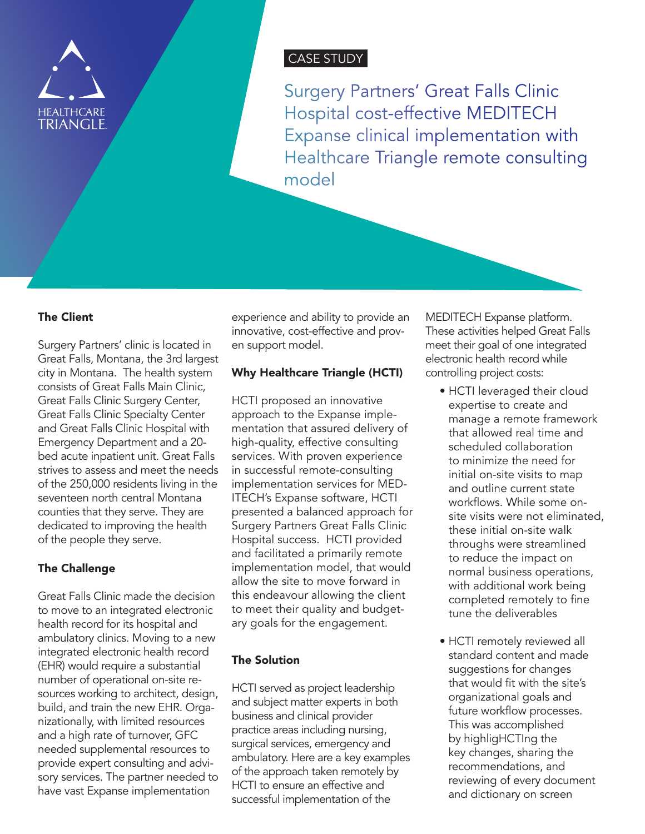

# CASE STUDY

Surgery Partners' Great Falls Clinic Hospital cost-effective MEDITECH Expanse clinical implementation with Healthcare Triangle remote consulting model

#### The Client

Surgery Partners' clinic is located in Great Falls, Montana, the 3rd largest city in Montana. The health system consists of Great Falls Main Clinic, Great Falls Clinic Surgery Center, Great Falls Clinic Specialty Center and Great Falls Clinic Hospital with Emergency Department and a 20 bed acute inpatient unit. Great Falls strives to assess and meet the needs of the 250,000 residents living in the seventeen north central Montana counties that they serve. They are dedicated to improving the health of the people they serve.

### The Challenge

Great Falls Clinic made the decision to move to an integrated electronic health record for its hospital and ambulatory clinics. Moving to a new integrated electronic health record (EHR) would require a substantial number of operational on-site resources working to architect, design, build, and train the new EHR. Organizationally, with limited resources and a high rate of turnover, GFC needed supplemental resources to provide expert consulting and advisory services. The partner needed to have vast Expanse implementation

experience and ability to provide an innovative, cost-effective and proven support model.

#### Why Healthcare Triangle (HCTI)

HCTI proposed an innovative approach to the Expanse implementation that assured delivery of high-quality, effective consulting services. With proven experience in successful remote-consulting implementation services for MED-ITECH's Expanse software, HCTI presented a balanced approach for Surgery Partners Great Falls Clinic Hospital success. HCTI provided and facilitated a primarily remote implementation model, that would allow the site to move forward in this endeavour allowing the client to meet their quality and budgetary goals for the engagement.

## The Solution

HCTI served as project leadership and subject matter experts in both business and clinical provider practice areas including nursing, surgical services, emergency and ambulatory. Here are a key examples of the approach taken remotely by HCTI to ensure an effective and successful implementation of the

MEDITECH Expanse platform. These activities helped Great Falls meet their goal of one integrated electronic health record while controlling project costs:

- HCTI leveraged their cloud expertise to create and manage a remote framework that allowed real time and scheduled collaboration to minimize the need for initial on-site visits to map and outline current state workflows. While some onsite visits were not eliminated, these initial on-site walk throughs were streamlined to reduce the impact on normal business operations, with additional work being completed remotely to fine tune the deliverables
- HCTI remotely reviewed all standard content and made suggestions for changes that would fit with the site's organizational goals and future workflow processes. This was accomplished by highligHCTIng the key changes, sharing the recommendations, and reviewing of every document and dictionary on screen